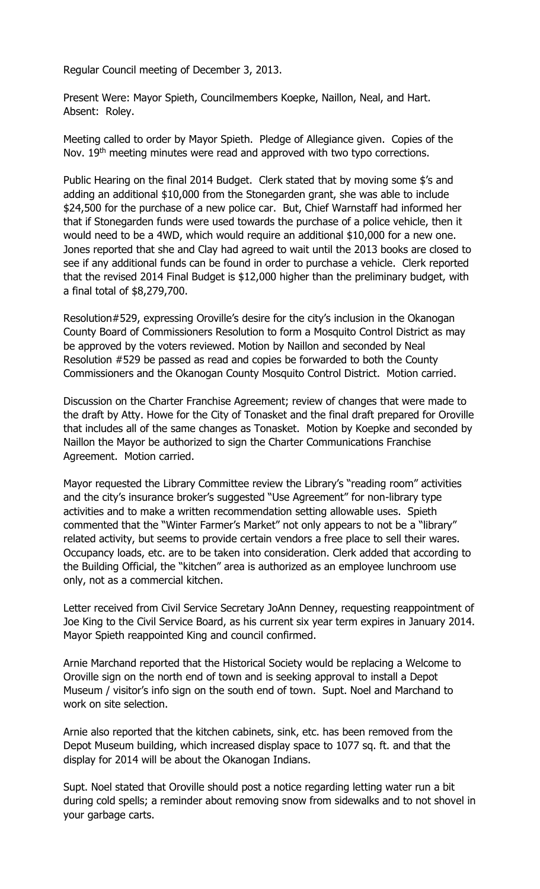Regular Council meeting of December 3, 2013.

Present Were: Mayor Spieth, Councilmembers Koepke, Naillon, Neal, and Hart. Absent: Roley.

Meeting called to order by Mayor Spieth. Pledge of Allegiance given. Copies of the Nov. 19<sup>th</sup> meeting minutes were read and approved with two typo corrections.

Public Hearing on the final 2014 Budget. Clerk stated that by moving some \$'s and adding an additional \$10,000 from the Stonegarden grant, she was able to include \$24,500 for the purchase of a new police car. But, Chief Warnstaff had informed her that if Stonegarden funds were used towards the purchase of a police vehicle, then it would need to be a 4WD, which would require an additional \$10,000 for a new one. Jones reported that she and Clay had agreed to wait until the 2013 books are closed to see if any additional funds can be found in order to purchase a vehicle. Clerk reported that the revised 2014 Final Budget is \$12,000 higher than the preliminary budget, with a final total of \$8,279,700.

Resolution#529, expressing Oroville's desire for the city's inclusion in the Okanogan County Board of Commissioners Resolution to form a Mosquito Control District as may be approved by the voters reviewed. Motion by Naillon and seconded by Neal Resolution #529 be passed as read and copies be forwarded to both the County Commissioners and the Okanogan County Mosquito Control District. Motion carried.

Discussion on the Charter Franchise Agreement; review of changes that were made to the draft by Atty. Howe for the City of Tonasket and the final draft prepared for Oroville that includes all of the same changes as Tonasket. Motion by Koepke and seconded by Naillon the Mayor be authorized to sign the Charter Communications Franchise Agreement. Motion carried.

Mayor requested the Library Committee review the Library's "reading room" activities and the city's insurance broker's suggested "Use Agreement" for non-library type activities and to make a written recommendation setting allowable uses. Spieth commented that the "Winter Farmer's Market" not only appears to not be a "library" related activity, but seems to provide certain vendors a free place to sell their wares. Occupancy loads, etc. are to be taken into consideration. Clerk added that according to the Building Official, the "kitchen" area is authorized as an employee lunchroom use only, not as a commercial kitchen.

Letter received from Civil Service Secretary JoAnn Denney, requesting reappointment of Joe King to the Civil Service Board, as his current six year term expires in January 2014. Mayor Spieth reappointed King and council confirmed.

Arnie Marchand reported that the Historical Society would be replacing a Welcome to Oroville sign on the north end of town and is seeking approval to install a Depot Museum / visitor's info sign on the south end of town. Supt. Noel and Marchand to work on site selection.

Arnie also reported that the kitchen cabinets, sink, etc. has been removed from the Depot Museum building, which increased display space to 1077 sq. ft. and that the display for 2014 will be about the Okanogan Indians.

Supt. Noel stated that Oroville should post a notice regarding letting water run a bit during cold spells; a reminder about removing snow from sidewalks and to not shovel in your garbage carts.